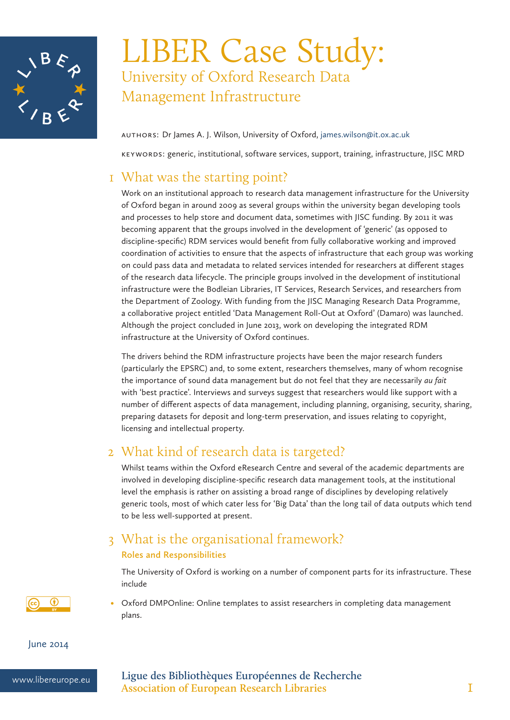

# LIBER Case Study: University of Oxford Research Data Management Infrastructure

AuthorS: Dr James A. J. Wilson, University of Oxford, james.wilson@it.ox.ac.uk

Keywords: generic, institutional, software services, support, training, infrastructure, JISC MRD

## 1 What was the starting point?

Work on an institutional approach to research data management infrastructure for the University of Oxford began in around 2009 as several groups within the university began developing tools and processes to help store and document data, sometimes with JISC funding. By 2011 it was becoming apparent that the groups involved in the development of 'generic' (as opposed to discipline-specific) RDM services would benefit from fully collaborative working and improved coordination of activities to ensure that the aspects of infrastructure that each group was working on could pass data and metadata to related services intended for researchers at different stages of the research data lifecycle. The principle groups involved in the development of institutional infrastructure were the Bodleian Libraries, IT Services, Research Services, and researchers from the Department of Zoology. With funding from the JISC Managing Research Data Programme, a collaborative project entitled 'Data Management Roll-Out at Oxford' (Damaro) was launched. Although the project concluded in June 2013, work on developing the integrated RDM infrastructure at the University of Oxford continues.

The drivers behind the RDM infrastructure projects have been the major research funders (particularly the EPSRC) and, to some extent, researchers themselves, many of whom recognise the importance of sound data management but do not feel that they are necessarily *au fait*  with 'best practice'. Interviews and surveys suggest that researchers would like support with a number of different aspects of data management, including planning, organising, security, sharing, preparing datasets for deposit and long-term preservation, and issues relating to copyright, licensing and intellectual property.

# 2 What kind of research data is targeted?

Whilst teams within the Oxford eResearch Centre and several of the academic departments are involved in developing discipline-specific research data management tools, at the institutional level the emphasis is rather on assisting a broad range of disciplines by developing relatively generic tools, most of which cater less for 'Big Data' than the long tail of data outputs which tend to be less well-supported at present.

## 3 What is the organisational framework? **Roles and Responsibilities**

The University of Oxford is working on a number of component parts for its infrastructure. These include

Oxford DMPOnline: Online templates to assist researchers in completing data management plans.

June 2014

 $^{\circ}$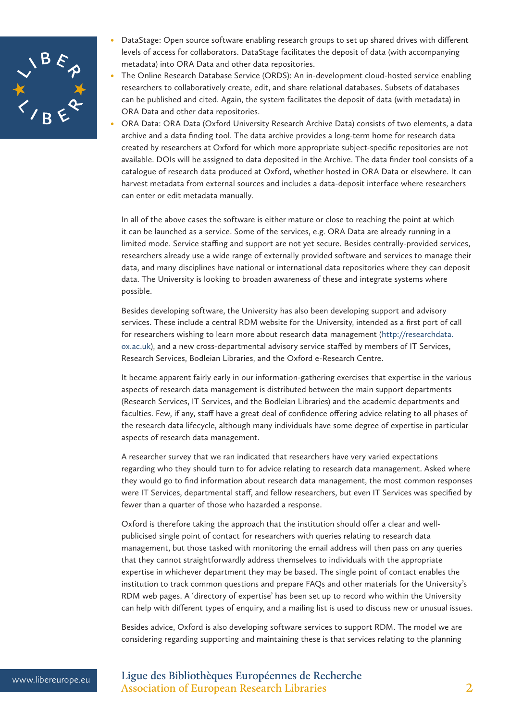

- DataStage: Open source software enabling research groups to set up shared drives with different levels of access for collaborators. DataStage facilitates the deposit of data (with accompanying metadata) into ORA Data and other data repositories.
- The Online Research Database Service (ORDS): An in-development cloud-hosted service enabling researchers to collaboratively create, edit, and share relational databases. Subsets of databases can be published and cited. Again, the system facilitates the deposit of data (with metadata) in ORA Data and other data repositories.
- ORA Data: ORA Data (Oxford University Research Archive Data) consists of two elements, a data archive and a data finding tool. The data archive provides a long-term home for research data created by researchers at Oxford for which more appropriate subject-specific repositories are not available. DOIs will be assigned to data deposited in the Archive. The data finder tool consists of a catalogue of research data produced at Oxford, whether hosted in ORA Data or elsewhere. It can harvest metadata from external sources and includes a data-deposit interface where researchers can enter or edit metadata manually.

In all of the above cases the software is either mature or close to reaching the point at which it can be launched as a service. Some of the services, e.g. ORA Data are already running in a limited mode. Service staffing and support are not yet secure. Besides centrally-provided services, researchers already use a wide range of externally provided software and services to manage their data, and many disciplines have national or international data repositories where they can deposit data. The University is looking to broaden awareness of these and integrate systems where possible.

Besides developing software, the University has also been developing support and advisory services. These include a central RDM website for the University, intended as a first port of call for researchers wishing to learn more about research data management (http://researchdata. ox.ac.uk), and a new cross-departmental advisory service staffed by members of IT Services, Research Services, Bodleian Libraries, and the Oxford e-Research Centre.

It became apparent fairly early in our information-gathering exercises that expertise in the various aspects of research data management is distributed between the main support departments (Research Services, IT Services, and the Bodleian Libraries) and the academic departments and faculties. Few, if any, staff have a great deal of confidence offering advice relating to all phases of the research data lifecycle, although many individuals have some degree of expertise in particular aspects of research data management.

A researcher survey that we ran indicated that researchers have very varied expectations regarding who they should turn to for advice relating to research data management. Asked where they would go to find information about research data management, the most common responses were IT Services, departmental staff, and fellow researchers, but even IT Services was specified by fewer than a quarter of those who hazarded a response.

Oxford is therefore taking the approach that the institution should offer a clear and wellpublicised single point of contact for researchers with queries relating to research data management, but those tasked with monitoring the email address will then pass on any queries that they cannot straightforwardly address themselves to individuals with the appropriate expertise in whichever department they may be based. The single point of contact enables the institution to track common questions and prepare FAQs and other materials for the University's RDM web pages. A 'directory of expertise' has been set up to record who within the University can help with different types of enquiry, and a mailing list is used to discuss new or unusual issues.

Besides advice, Oxford is also developing software services to support RDM. The model we are considering regarding supporting and maintaining these is that services relating to the planning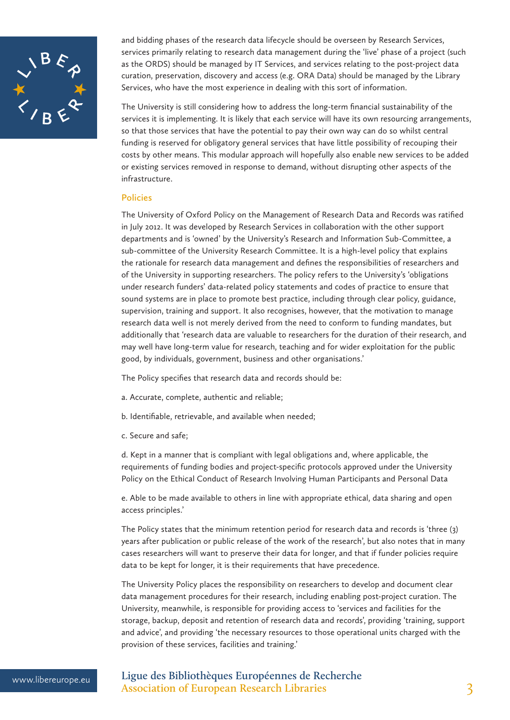

and bidding phases of the research data lifecycle should be overseen by Research Services, services primarily relating to research data management during the 'live' phase of a project (such as the ORDS) should be managed by IT Services, and services relating to the post-project data curation, preservation, discovery and access (e.g. ORA Data) should be managed by the Library Services, who have the most experience in dealing with this sort of information.

The University is still considering how to address the long-term financial sustainability of the services it is implementing. It is likely that each service will have its own resourcing arrangements, so that those services that have the potential to pay their own way can do so whilst central funding is reserved for obligatory general services that have little possibility of recouping their costs by other means. This modular approach will hopefully also enable new services to be added or existing services removed in response to demand, without disrupting other aspects of the infrastructure.

#### **Policies**

The University of Oxford Policy on the Management of Research Data and Records was ratified in July 2012. It was developed by Research Services in collaboration with the other support departments and is 'owned' by the University's Research and Information Sub-Committee, a sub-committee of the University Research Committee. It is a high-level policy that explains the rationale for research data management and defines the responsibilities of researchers and of the University in supporting researchers. The policy refers to the University's 'obligations under research funders' data-related policy statements and codes of practice to ensure that sound systems are in place to promote best practice, including through clear policy, guidance, supervision, training and support. It also recognises, however, that the motivation to manage research data well is not merely derived from the need to conform to funding mandates, but additionally that 'research data are valuable to researchers for the duration of their research, and may well have long-term value for research, teaching and for wider exploitation for the public good, by individuals, government, business and other organisations.'

The Policy specifies that research data and records should be:

- a. Accurate, complete, authentic and reliable;
- b. Identifiable, retrievable, and available when needed;
- c. Secure and safe;

d. Kept in a manner that is compliant with legal obligations and, where applicable, the requirements of funding bodies and project-specific protocols approved under the University Policy on the Ethical Conduct of Research Involving Human Participants and Personal Data

e. Able to be made available to others in line with appropriate ethical, data sharing and open access principles.'

The Policy states that the minimum retention period for research data and records is 'three (3) years after publication or public release of the work of the research', but also notes that in many cases researchers will want to preserve their data for longer, and that if funder policies require data to be kept for longer, it is their requirements that have precedence.

The University Policy places the responsibility on researchers to develop and document clear data management procedures for their research, including enabling post-project curation. The University, meanwhile, is responsible for providing access to 'services and facilities for the storage, backup, deposit and retention of research data and records', providing 'training, support and advice', and providing 'the necessary resources to those operational units charged with the provision of these services, facilities and training.'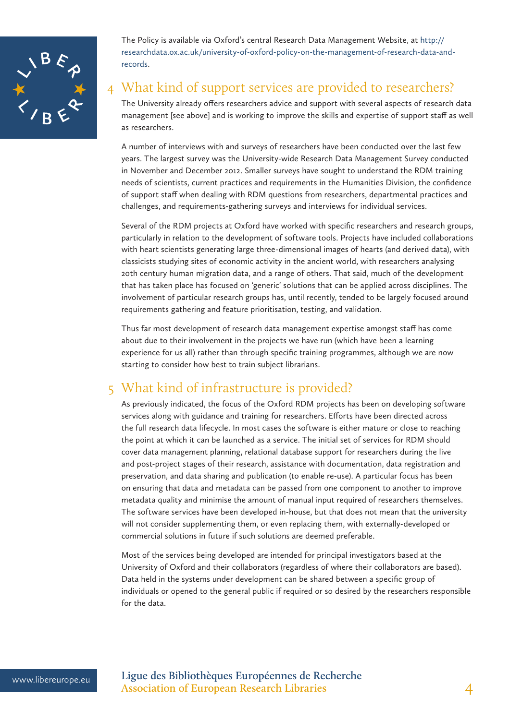

The Policy is available via Oxford's central Research Data Management Website, at http:// researchdata.ox.ac.uk/university-of-oxford-policy-on-the-management-of-research-data-andrecords.

## 4 What kind of support services are provided to researchers?

The University already offers researchers advice and support with several aspects of research data management [see above] and is working to improve the skills and expertise of support staff as well as researchers.

A number of interviews with and surveys of researchers have been conducted over the last few years. The largest survey was the University-wide Research Data Management Survey conducted in November and December 2012. Smaller surveys have sought to understand the RDM training needs of scientists, current practices and requirements in the Humanities Division, the confidence of support staff when dealing with RDM questions from researchers, departmental practices and challenges, and requirements-gathering surveys and interviews for individual services.

Several of the RDM projects at Oxford have worked with specific researchers and research groups, particularly in relation to the development of software tools. Projects have included collaborations with heart scientists generating large three-dimensional images of hearts (and derived data), with classicists studying sites of economic activity in the ancient world, with researchers analysing 20th century human migration data, and a range of others. That said, much of the development that has taken place has focused on 'generic' solutions that can be applied across disciplines. The involvement of particular research groups has, until recently, tended to be largely focused around requirements gathering and feature prioritisation, testing, and validation.

Thus far most development of research data management expertise amongst staff has come about due to their involvement in the projects we have run (which have been a learning experience for us all) rather than through specific training programmes, although we are now starting to consider how best to train subject librarians.

## 5 What kind of infrastructure is provided?

As previously indicated, the focus of the Oxford RDM projects has been on developing software services along with guidance and training for researchers. Efforts have been directed across the full research data lifecycle. In most cases the software is either mature or close to reaching the point at which it can be launched as a service. The initial set of services for RDM should cover data management planning, relational database support for researchers during the live and post-project stages of their research, assistance with documentation, data registration and preservation, and data sharing and publication (to enable re-use). A particular focus has been on ensuring that data and metadata can be passed from one component to another to improve metadata quality and minimise the amount of manual input required of researchers themselves. The software services have been developed in-house, but that does not mean that the university will not consider supplementing them, or even replacing them, with externally-developed or commercial solutions in future if such solutions are deemed preferable.

Most of the services being developed are intended for principal investigators based at the University of Oxford and their collaborators (regardless of where their collaborators are based). Data held in the systems under development can be shared between a specific group of individuals or opened to the general public if required or so desired by the researchers responsible for the data.